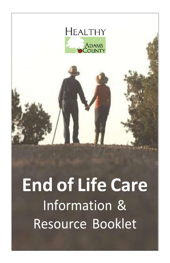

# **End of Life Care** Information & Resource Booklet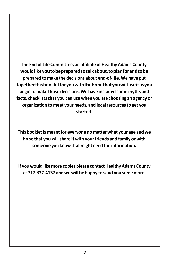**The End of Life Committee, an affiliate of Healthy Adams County wouldlikeyoutobepreparedtotalkabout,toplanforandtobe prepared to make the decisions about end-of-life. We have put togetherthisbookletforyouwiththehopethatyouwilluseitasyou begin to make those decisions. We have included some myths and facts, checkliststhat you can use when you are choosing an agency or organization to meet your needs, and localresourcesto get you started.**

**This bookletis meantfor everyone no matter what your age and we hope that you willshare it with your friends and family or with someone you knowthat might need the information.**

**If you would like more copies please contact Healthy Adams County at 717-337-4137 and we will be happy to send you some more.**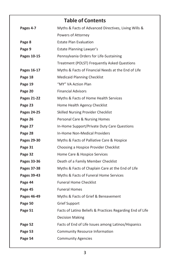# **Table of Contents Pages 4-7** Myths & Facts of Advanced Directives, Living Wills & Powers of Attorney **Page 8** Estate Plan Evaluation **Page 9** Estate Planning Lawyer's **Pages 10-15** Pennsylvania Orders for Life-Sustaining Treatment (POLST) Frequently Asked Questions **Pages 16-17** Myths & Facts of Financial Needs at the End of Life **Page 18** Medicaid Planning Checklist **Page 19** "MY" VA Action Plan **Page 20** Financial Advisors **Pages 21-22** Myths & Facts of Home Health Services **Page 23** Home Health Agency Checklist Pages 24-25 Skilled Nursing Provider Checklist **Page 26** Personal Care & Nursing Homes **Page 27** In-Home Support/Private Duty Care Questions **Page 28** In-Home Non-Medical Providers **Pages 29-30** Myths & Facts of Palliative Care & Hospice **Page 31** Choosing a Hospice Provider Checklist **Page 32** Home Care & Hospice Services **Pages 33-36** Death of a Family Member Checklist **Pages 37-38** Myths & Facts of Chaplain Care at the End of Life **Pages 39-43** Myths & Facts of Funeral Home Services **Page 44** Funeral Home Checklist **Page 45** Funeral Homes **Pages 46-49** Myths & Facts of Grief & Bereavement **Page 50** Grief Support **Page 51** Facts of Latino Beliefs & Practices Regarding End of Life Decision Making **Page 52** Facts of End of Life Issues among Latinos/Hispanics **Page 53** Community Resource Information **Page 54** Community Agencies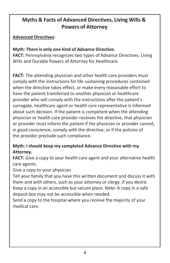# **Myths & Facts of Advanced Directives, Living Wills & Powers of Attorney**

# **Advanced Directives:**

# **Myth: There is only one kind of Advance Directive.**

**FACT:** Pennsylvania recognizes two types of Advance Directives: Living Wills and Durable Powers of Attorney for Healthcare.

**FACT:** The attending physician and other health care providers must comply with the instructions for life sustaining procedures contained when the directive takes effect, or make every reasonable effort to have the patient transferred to another physician or healthcare provider who will comply with the instructions after the patient's surrogate, healthcare agent or health care representative is informed about such decision. If the patient is competent when the attending physician or health care provider receives the directive, that physician or provider must inform the patient if the physician or provider cannot, in good conscience, comply with the directive, or if the policies of the provider preclude such compliance.

## **Myth: I should keep my completed Advance Directive with my Attorney.**

**FACT:** Give a copy to your health care agent and your alternative health care agents.

## Give a copy to your physician

Tell your family that you have this written document and discuss it with them and with others, such as your attorney or clergy, if you desire. Keep a copy in an accessible but secure place. Note: A copy in a safe deposit box may not be accessible when needed.

Send a copy to the hospital where you receive the majority of your medical care.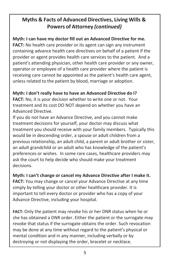# **Myths & Facts of Advanced Directives, Living Wills & Powers of Attorney** *(continued)*

**Myth: I can have my doctor fill out an Advanced Directive for me. FACT:** No health care provider or its agent can sign any instrument containing advance health care directives on behalf of a patient if the provider or agent provides health care services to the patient. And a patient's attending physician, other health care provider or any owner, operator or employee of a health care provider where the patient is receiving care cannot be appointed as the patient's health care agent, unless related to the patient by blood, marriage or adoption.

# **Myth: I don't really have to have an Advanced Directive do I?**

**FACT:** No, it is your decision whether to write one or not. Your treatment and its cost DO NOT depend on whether you have an Advanced Directive.

If you do not have an Advance Directive, and you cannot make treatment decisions for yourself, your doctor may discuss what treatment you should receive with your family members. Typically this would be in descending order, a spouse or adult children from a previous relationship, an adult child, a parent or adult brother or sister, an adult grandchild or an adult who has knowledge of the patient's preferences or wishes. In some rare cases, healthcare providers may ask the court to help decide who should make your treatment decisions.

**Myth: I can't change or cancel my Advance Directive after I make it. FACT:** You may change or cancel your Advance Directive at any time simply by telling your doctor or other healthcare provider. It is important to tell every doctor or provider who has a copy of your Advance Directive, including your hospital.

**FACT:** Only the patient may revoke his or her DNR status when he or she has obtained a DNR order. Either the patient or the surrogate may revoke that status if the surrogate obtains the order. Such revocation may be done at any time without regard to the patient's physical or mental condition and in any manner, including verbally or by destroying or not displaying the order, bracelet or necklace.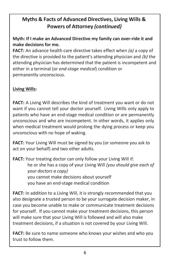# **Myths & Facts of Advanced Directives, Living Wills & Powers of Attorney** *(continued)*

# **Myth: If I make an Advanced Directive my family can over-ride it and make decisions for me.**

**FACT:** An advance health care directive takes effect when *(a)* a copy of the directive is provided to the patient's attending physician and *(b)* the attending physician has determined that the patient is incompetent and either in a terminal (or *end-stage medical*) condition or permanently unconscious.

# **Living Wills:**

**FACT:** A Living Will describes the kind of treatment you want or do not want if you cannot tell your doctor yourself. Living Wills only apply to patients who have an end-stage medical condition or are permanently unconscious and who are incompetent. In other words, it applies only when medical treatment would prolong the dying process or keep you unconscious with no hope of waking.

**FACT:** Your Living Will must be signed by you (or someone you ask to act on your behalf) and two other adults.

**FACT:** Your treating doctor can only follow your Living Will if: he or she has a copy of your Living Will *(you should give each of your doctors a copy)* you cannot make decisions about yourself you have an end-stage medical condition

**FACT:** In addition to a Living Will, it is strongly recommended that you also designate a trusted person to be your surrogate decision maker, in case you become unable to make or communicate treatment decisions for yourself. If you cannot make your treatment decisions, this person will make sure that your Living Will is followed and will also make treatment decisions, if a situation is not covered by your Living Will.

**FACT:** Be sure to name someone who knows your wishes and who you trust to follow them.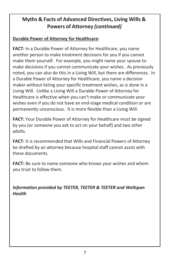# **Myths & Facts of Advanced Directives, Living Wills & Powers of Attorney** *(continued)*

# **Durable Power of Attorney for Healthcare:**

**FACT:** In a Durable Power of Attorney for Healthcare, you name another person to make treatment decisions for you if you cannot make them yourself. For example, you might name your spouse to make decisions if you cannot communicate your wishes. As previously noted, you can also do this in a Living Will, but there are differences. In a Durable Power of Attorney for Healthcare, you name a decision maker without listing your specific treatment wishes, as is done in a Living Will. Unlike a Living Will a Durable Power of Attorney for Healthcare is effective when you can't make or communicate your wishes even if you do not have an end-stage medical condition or are permanently unconscious. It is more flexible than a Living Will.

**FACT:** Your Durable Power of Attorney for Healthcare must be signed by you (or someone you ask to act on your behalf) and two other adults.

**FACT:** It is recommended that Wills and Financial Powers of Attorney be drafted by an attorney because hospital staff cannot assist with these documents.

**FACT:** Be sure to name someone who knows your wishes and whom you trust to follow them.

*Information provided by TEETER, TEETER & TEETER and Wellspan Health*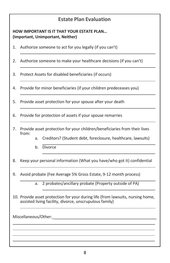# **Estate Plan Evaluation**

#### **HOW IMPORTANT IS IT THAT YOUR ESTATE PLAN… (Important, Unimportant, Neither)**

- 1. Authorize someone to act for you legally (if you can't)
- 2. Authorize someone to make your healthcare decisions (if you can't)
- 3. Protect Assets for disabled beneficiaries (if occurs)
- 4. Provide for minor beneficiaries (if your children predeceases you)
- 5. Provide asset protection for your spouse after your death
- 6. Provide for protection of assets if your spouse remarries
- 7. Provide asset protection for your children/beneficiaries from their lives from:
	- a. Creditors? (Student debt, foreclosure, healthcare, lawsuits)
	- b. Divorce

8. Keep your personal information (What you have/who got it) confidential

- 9. Avoid probate (Fee Average 5% Gross Estate, 9-12 month process)
	- a. 2 probates/ancillary probate (Property outside of PA)
- 10. Provide asset protection for your during life (from lawsuits, nursing home, assisted living facility, divorce, unscrupulous family)

Miscellaneous/Other:\_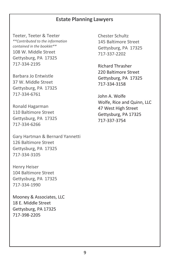## **Estate Planning Lawyers**

Teeter, Teeter & Teeter *\*\*Contributed to the information contained in the booklet\*\** 108 W. Middle Street Gettysburg, PA 17325 717-334-2195

Barbara Jo Entwistle 37 W. Middle Street Gettysburg, PA 17325 717-334-6761

Ronald Hagarman 110 Baltimore Street Gettysburg, PA 17325 717-334-6266

Gary Hartman & Bernard Yannetti 126 Baltimore Street Gettysburg, PA 17325 717-334-3105

Henry Heiser 104 Baltimore Street Gettysburg, PA 17325 717-334-1990

Mooney & Associates, LLC 18 E. Middle Street Gettysburg, PA 17325 717-398-2205

Chester Schultz 145 Baltimore Street Gettysburg, PA 17325 717-337-2202

Richard Thrasher 220 Baltimore Street Gettysburg, PA 17325 717-334-3158

John A. Wolfe Wolfe, Rice and Quinn, LLC 47 West High Street Gettysburg, PA 17325 717-337-3754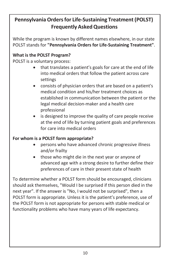# **Pennsylvania Ordersfor Life-Sustaining Treatment (POLST) Frequently AskedQuestions**

While the program is known by different names elsewhere, in our state POLST stands for **"Pennsylvania Orders for Life-Sustaining Treatment"**.

# **What is the POLST Program?**

POLST is a voluntary process:

- that translates a patient's goals for care at the end of life into medical orders that follow the patient across care settings
- consists of physician orders that are based on a patient's medical condition and his/her treatment choices as established in communication between the patient or the legal medical decision-maker and a health care professional
- is designed to improve the quality of care people receive at the end of life by turning patient goals and preferences for care into medical orders

## **For whom is a POLST form appropriate?**

- persons who have advanced chronic progressive illness and/or frailty
- those who might die in the next year or anyone of advanced age with a strong desire to further define their preferences of care in their present state of health

To determine whether a POLST form should be encouraged, clinicians should ask themselves, "Would I be surprised if this person died in the next year". If the answer is "No, I would not be surprised", then a POLST form is appropriate. Unless it is the patient's preference, use of the POLST form is not appropriate for persons with stable medical or functionality problems who have many years of life expectancy.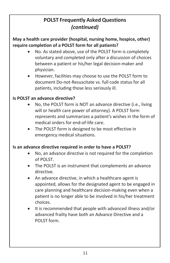## **May a health care provider (hospital, nursing home, hospice, other) require completion of a POLST form for all patients?**

- No. As stated above, use of the POLST form is completely voluntary and completed only after a discussion of choices between a patient or his/her legal decision-maker and physician.
- *However*, facilities may choose to use the POLST form to document Do-not-Resuscitate vs. full code status for all patients, including those less seriously ill.

# **Is POLST an advance directive?**

- No, the POLST form is NOT an advance directive (i.e., living will or health care power of attorney). A POLST form represents and summarizes a patient's wishes in the form of medical orders for end-of-life care.
- The POLST form is designed to be most effective in emergency medical situations.

## **Is an advance directive required in order to have a POLST?**

- No, an advance directive is not required for the completion of POLST.
- The POLST is an instrument that complements an advance directive.
- An advance directive, in which a healthcare agent is appointed, allows for the designated agent to be engaged in care planning and healthcare decision-making even when a patient is no longer able to be involved in his/her treatment choices.
- It is recommended that people with advanced illness and/or advanced frailty have both an Advance Directive and a POLST form.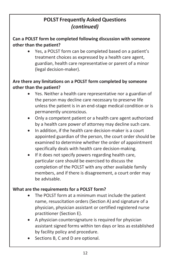#### **Can a POLST form be completed following discussion with someone other than the patient?**

• Yes, a POLST form can be completed based on a patient's treatment choices as expressed by a health care agent, guardian, health care representative or parent of a minor (legal decision-maker).

# **Are there any limitations on a POLST form completed by someone other than the patient?**

- Yes. Neither a health care representative nor a guardian of the person may decline care necessary to preserve life unless the patient is in an end-stage medical condition or is permanently unconscious.
- Only a competent patient or a health care agent authorized by a health care power of attorney may decline such care.
- In addition, if the health care decision-maker is a court appointed guardian of the person, the court order should be examined to determine whether the order of appointment specifically deals with health care decision-making.
- If it does not specify powers regarding health care, particular care should be exercised to discuss the completion of the POLST with any other available family members, and if there is disagreement, a court order may be advisable.

## **What are the requirements for a POLST form?**

- The POLST form at a minimum must include the patient name, resuscitation orders (Section A) and signature of a physician, physician assistant or certified registered nurse practitioner (Section E).
- A physician countersignature is required for physician assistant signed forms within ten days or less as established by facility policy and procedure.
- Sections B, C and D are optional.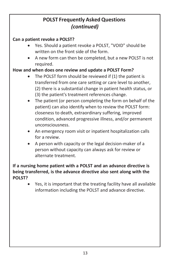# **Can a patient revoke a POLST?**

- Yes. Should a patient revoke a POLST, "VOID" should be written on the front side of the form.
- A new form can then be completed, but a new POLST is not required.

# **How and when does one review and update a POLST Form?**

- The POLST form should be reviewed if (1) the patient is transferred from one care setting or care level to another, (2) there is a substantial change in patient health status, or (3) the patient's treatment references change.
- The patient (or person completing the form on behalf of the patient) can also identify when to review the POLST form: closeness to death, extraordinary suffering, improved condition, advanced progressive illness, and/or permanent unconsciousness.
- An emergency room visit or inpatient hospitalization calls for a review.
- A person with capacity or the legal decision-maker of a person without capacity can always ask for review or alternate treatment.

## **If a nursing home patient with a POLST and an advance directive is being transferred, is the advance directive also sent along with the POLST?**

• Yes, it is important that the treating facility have all available information including the POLST and advance directive.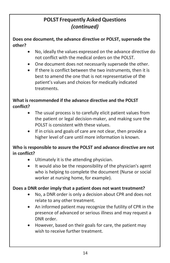**Does one document, the advance directive or POLST, supersede the other?**

- No, ideally the values expressed on the advance directive do not conflict with the medical orders on the POLST.
- One document does not necessarily supersede the other.
- If there is conflict between the two instruments, then it is best to amend the one that is not representative of the patient's values and choices for medically indicated treatments.

## **What is recommended if the advance directive and the POLST conflict?**

- The usual process is to carefully elicit patient values from the patient or legal decision-maker, and making sure the POLST is consistent with these values.
- If in crisis and goals of care are not clear, then provide a higher level of care until more information is known.

## **Who is responsible to assure the POLST and advance directive are not in conflict?**

- Ultimately it is the attending physician.
- It would also be the responsibility of the physician's agent who is helping to complete the document (Nurse or social worker at nursing home, for example).

## **Does a DNR order imply that a patient does not want treatment?**

- No, a DNR order is only a decision about CPR and does not relate to any other treatment.
- An informed patient may recognize the futility of CPR in the presence of advanced or serious illness and may request a DNR order.
- However, based on their goals for care, the patient may wish to receive further treatment.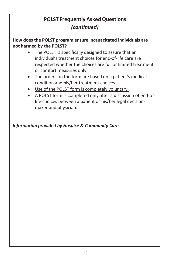**How does the POLST program ensure incapacitated individuals are not harmed by the POLST?**

- The POLST is specifically designed to assure that an individual's treatment choices for end-of-life care are respected whether the choices are full or limited treatment or comfort measures only.
- The orders on the form are based on a patient's medical condition and his/her treatment choices.
- Use of the POLST form is completely voluntary.
- A POLST form is completed only after a discussion of end-oflife choices between a patient or his/her legal decisionmaker and physician.

*Information provided by Hospice & Community Care*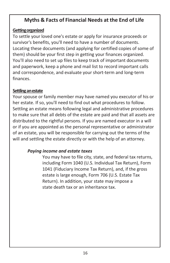# **Myths & Facts of Financial Needs at the End of Life**

#### **Gettingorganized**

To settle your loved one's estate or apply for insurance proceeds or survivor's benefits, you'll need to have a number of documents. Locating these documents (and applying for certified copies of some of them) should be your first step in getting your finances organized. You'll also need to set up files to keep track of important documents and paperwork, keep a phone and mail list to record important calls and correspondence, and evaluate your short-term and long-term finances.

#### **Settling anestate**

Your spouse or family member may have named you executor of his or her estate. If so, you'll need to find out what procedures to follow. Settling an estate means following legal and administrative procedures to make sure that all debts of the estate are paid and that all assets are distributed to the rightful persons. If you are named executor in a will or if you are appointed as the personal representative or administrator of an estate, you will be responsible for carrying out the terms of the will and settling the estate directly or with the help of an attorney.

#### *Paying income and estate taxes*

You may have to file city, state, and federal tax returns, including Form 1040 (U.S. Individual Tax Return), Form 1041 (Fiduciary Income Tax Return), and, if the gross estate is large enough, Form 706 (U.S. Estate Tax Return). In addition, your state may impose a state death tax or an inheritance tax.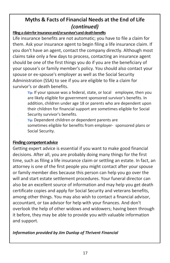# **Myths & Facts of Financial Needs at the End of Life** *(continued)*

#### Filing a claim for insurance and/or survivor's and death benefits

Life insurance benefits are not automatic; you have to file a claim for them. Ask your insurance agent to begin filing a life insurance claim. If you don't have an agent, contact the company directly. Although most claims take only a few days to process, contacting an insurance agent should be one of the first things you do if you are the beneficiary of your spouse's or family member's policy. You should also contact your spouse or ex-spouse's employer as well as the Social Security Administration (SSA) to see if you are eligible to file a claim for survivor's or death benefits.

> **Tip:** If your spouse was a federal, state, or local employee, then you are likely eligible for government sponsored survivor's benefits. In addition, children under age 18 or parents who are dependent upon their children for financial support are sometimes eligible for Social Security survivor's benefits.

**Tip:** Dependent children or dependent parents are sometimes eligible for benefits from employer- sponsored plans or Social Security.

#### **Finding competent advice**

Getting expert advice is essential if you want to make good financial decisions. After all, you are probably doing many things for the first time, such as filing a life insurance claim or settling an estate. In fact, an attorney is one of the first people you might contact after your spouse or family member dies because this person can help you go over the will and start estate settlement procedures. Your funeral director can also be an excellent source of information and may help you get death certificate copies and apply for Social Security and veterans benefits, among other things. You may also wish to contact a financial advisor, accountant, or tax advisor for help with your finances. And don't overlook the help of other widows and widowers; having been through it before, they may be able to provide you with valuable information and support.

#### *Information provided by Jim Dunlop of Thrivent Financial*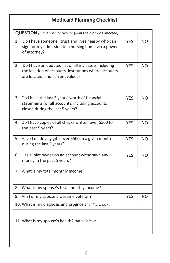# **Medicaid Planning Checklist**

|    | <b>QUESTION</b> (Circle 'Yes' or 'No' or fill in the blank as directed)                                                                           |            |           |
|----|---------------------------------------------------------------------------------------------------------------------------------------------------|------------|-----------|
| 1. | Do I have someone I trust and lives nearby who can<br>sign for my admission to a nursing home via a power<br>of attorney?                         | <b>YES</b> | NΟ        |
| 2. | Do I have an updated list of all my assets including<br>the location of accounts, institutions where accounts<br>are located, and current values? | <b>YES</b> | NO.       |
| 3. | Do I have the last 5 years' worth of financial<br>statements for all accounts, including accounts<br>closed during the last 5 years?              | <b>YES</b> | <b>NO</b> |
|    | 4. Do I have copies of all checks written over \$500 for<br>the past 5 years?                                                                     | <b>YES</b> | <b>NO</b> |
| 5. | Have I made any gifts over \$500 in a given month<br>during the last 5 years?                                                                     | <b>YES</b> | NO.       |
| 6. | Has a joint owner on an account withdrawn any<br>money in the past 5 years?                                                                       | <b>YES</b> | <b>NO</b> |
|    | 7. What is my total monthly income?                                                                                                               |            |           |
| 8. | What is my spouse's total monthly income?                                                                                                         |            |           |
|    | 9. Am I or my spouse a wartime veteran?                                                                                                           | <b>YES</b> | NO.       |
|    | 10. What is my diagnosis and prognosis? (fill in below)                                                                                           |            |           |
|    | 11. What is my spouse's health? (fill in below)                                                                                                   |            |           |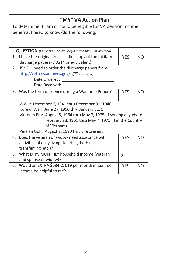| "MY" VA Action Plan<br>To determine if I am or could be eligible for VA pension income<br>benefits, I need to know/do the following:                                                                                                                                                         |            |           |  |
|----------------------------------------------------------------------------------------------------------------------------------------------------------------------------------------------------------------------------------------------------------------------------------------------|------------|-----------|--|
| <b>QUESTION</b> (Circle 'Yes' or 'No' or fill in the blank as directed)                                                                                                                                                                                                                      |            |           |  |
| 1. I have the original or a certified copy of the military<br>discharge papers (DD214 or equivalent)?                                                                                                                                                                                        | <b>YES</b> | <b>NO</b> |  |
| If NO, I need to order the discharge papers from<br>2.<br>http://vetrecs.archives.gov/ (fill in below)                                                                                                                                                                                       |            |           |  |
| Date Ordered:<br>Date Received:                                                                                                                                                                                                                                                              |            |           |  |
| 3. Was the term of service during a War Time Period?                                                                                                                                                                                                                                         | <b>YES</b> | <b>NO</b> |  |
| WWII: December 7, 1941 thru December 31, 1946<br>Korean War: June 27, 1950 thru January 31, 1<br>Vietnam Era: August 5, 1964 thru May 7, 1975 (if serving anywhere)<br>February 28, 1961 thru May 7, 1975 (if in the Country<br>of Vietnam)<br>Persian Gulf: August 2, 1990 thru the present |            |           |  |
| Does the veteran or widow need assistance with<br>4.<br>activities of daily living (toileting, bathing,<br>transferring, etc.)?                                                                                                                                                              | <b>YES</b> | <b>NO</b> |  |
| What is my MONTHLY household income (veteran<br>5.<br>and spouse or widow)?                                                                                                                                                                                                                  | \$         |           |  |
| Would an EXTRA \$684-2, 019 per month in tax free<br>6.<br>income be helpful to me?                                                                                                                                                                                                          | <b>YES</b> | <b>NO</b> |  |
|                                                                                                                                                                                                                                                                                              |            |           |  |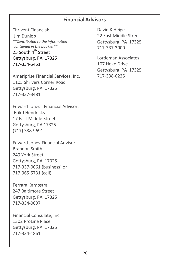## **FinancialAdvisors**

Thrivent Financial: Jim Dunlop *\*\*Contributed to the information contained in the booklet\*\** 25 South 4<sup>th</sup> Street Gettysburg, PA 17325 717-334-5451

Ameriprise Financial Services, Inc. 1105 Shrivers Corner Road Gettysburg, PA 17325 717-337-3481

Edward Jones - Financial Advisor: Erik J Hendricks 17 East Middle Street Gettysburg, PA 17325 (717) 338-9691

Edward Jones-Financial Advisor: Brandon Smith 249 York Street Gettysburg, PA 17325 717-337-0061 (business) or 717-965-5731 (cell)

Ferrara Kampstra 247 Baltimore Street Gettysburg, PA 17325 717-334-0097

Financial Consulate, Inc. 1302 ProLine Place Gettysburg, PA 17325 717-334-1861

David K Heiges 22 East Middle Street Gettysburg, PA 17325 717-337-3000

Lordeman Associates 107 Hoke Drive Gettysburg, PA 17325 717-338-0225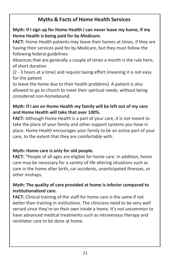# **Myths & Facts of Home Health Services**

# **Myth: If I sign up for Home Health I can never leave my home, if my Home Health is being paid for by Medicare.**

**FACT:** Home Health patients may leave their homes at times, if they are having their services paid for by Medicare, but they must follow the following federal guidelines:

Absences that are generally a couple of times a month is the rule here, of short duration

(2 - 3 hours at a time) and require taxing effort (meaning it is not easy for the patient

to leave the home due to their health problems). A patient is also allowed to go to church to meet their spiritual needs, without being considered non-homebound.

# **Myth: If I am on Home Health my family will be left out of my care and Home Health will take that over 100%.**

**FACT:** Although Home Health is a part of your care, it is not meant to take the place of your family and other support systems you have in place. Home Health encourages your family to be an active part of your care, to the extent that they are comfortable with.

# **Myth: Home care is only for old people.**

**FACT:** "People of all ages are eligible for home care. In addition, home care may be necessary for a variety of life altering situations such as care in the home after birth, car accidents, unanticipated illnesses, or other mishaps.

# **Myth: The quality of care provided at home is inferior compared to institutionalized care.**

**FACT:** Clinical training of the staff for home care is the same if not better than training in institutions. The clinicians need to be very well versed since they're on their own inside a home. It's not uncommon to have advanced medical treatments such as intravenous therapy and ventilator care to be done at home.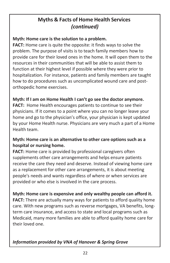# **Myths & Facts of Home Health Services** *(continued)*

# **Myth: Home care is the solution to a problem.**

**FACT:** Home care is quite the opposite: it finds ways to solve the problem. The purpose of visits is to teach family members how to provide care for their loved ones in the home. It will open them to the resources in their communities that will be able to assist them to function at their highest level if possible where they were prior to hospitalization. For instance, patients and family members are taught how to do procedures such as uncomplicated wound care and postorthopedic home exercises.

#### **Myth: If I am on Home Health I can't go see the doctor anymore.**

**FACT:** Home Health encourages patients to continue to see their physicians. If it comes to a point where you can no longer leave your home and go to the physician's office, your physician is kept updated by your Home Health nurse. Physicians are very much a part of a Home Health team.

#### **Myth: Home care is an alternative to other care options such as a hospital or nursing home.**

**FACT:** Home care is provided by professional caregivers often supplements other care arrangements and helps ensure patients receive the care they need and deserve. Instead of viewing home care as a replacement for other care arrangements, it is about meeting people's needs and wants regardless of where or when services are provided or who else is involved in the care process.

# **Myth: Home care is expensive and only wealthy people can afford it.**

**FACT:** There are actually many ways for patients to afford quality home care. With new programs such as reverse mortgages, VA benefits, longterm care insurance, and access to state and local programs such as Medicaid, many more families are able to afford quality home care for their loved one.

# *Information provided by VNA of Hanover & Spring Grove*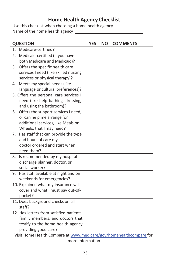# **Home Health Agency Checklist**

Use this checklist when choosing a home health agency. Name of the home health agency

| <b>QUESTION</b><br><b>YES</b><br><b>NO</b><br><b>COMMENTS</b>       |  |
|---------------------------------------------------------------------|--|
| Medicare-certified?<br>1.                                           |  |
| Medicaid-certified (if you have<br>2.                               |  |
| both Medicare and Medicaid)?                                        |  |
| 3. Offers the specific health care                                  |  |
| services I need (like skilled nursing                               |  |
| services or physical therapy)?                                      |  |
| 4. Meets my special needs (like                                     |  |
| language or cultural preferences)?                                  |  |
| 5. Offers the personal care services I                              |  |
| need (like help bathing, dressing,                                  |  |
| and using the bathroom)?                                            |  |
| 6. Offers the support services I need,                              |  |
| or can help me arrange for                                          |  |
| additional services, like Meals on                                  |  |
| Wheels, that I may need?                                            |  |
| 7. Has staff that can provide the type                              |  |
| and hours of care my                                                |  |
| doctor ordered and start when I                                     |  |
| need them?                                                          |  |
| Is recommended by my hospital<br>8.                                 |  |
| discharge planner, doctor, or                                       |  |
| social worker?                                                      |  |
| Has staff available at night and on<br>9.                           |  |
| weekends for emergencies?                                           |  |
| 10. Explained what my insurance will                                |  |
| cover and what I must pay out-of-                                   |  |
| pocket?<br>11. Does background checks on all                        |  |
| staff?                                                              |  |
| 12. Has letters from satisfied patients,                            |  |
| family members, and doctors that                                    |  |
| testify to the home health agency                                   |  |
| providing good care?                                                |  |
| Visit Home Health Compare at www.medicare/gov/homehealthcompare for |  |
| more information.                                                   |  |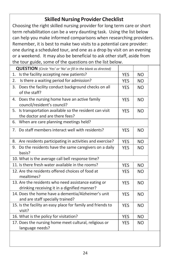# **Skilled Nursing Provider Checklist**

Choosing the right skilled nursing provider for long term care or short term rehabilitation can be a very daunting task. Using the list below can help you make informed comparisons when researching providers. Remember, it is best to make two visits to a potential care provider: one during a scheduled tour, and one as a drop by visit on an evening or a weekend. It may also be beneficial to ask other staff, aside from the tour guide, some of the questions on the list below.

| <b>QUESTION</b> (Circle 'Yes' or 'No' or fill in the blank as directed)                             |            |                |  |
|-----------------------------------------------------------------------------------------------------|------------|----------------|--|
| Is the facility accepting new patients?<br>1.                                                       | <b>YES</b> | NO.            |  |
| Is there a waiting period for admission?<br>2.                                                      | <b>YES</b> | <b>NO</b>      |  |
| Does the facility conduct background checks on all<br>3.<br>of the staff?                           | <b>YES</b> | N <sub>O</sub> |  |
| Does the nursing home have an active family<br>4.<br>council/resident's council?                    | <b>YES</b> | <b>NO</b>      |  |
| 5.<br>Is transportation available so the resident can visit<br>the doctor and are there fees?       | <b>YES</b> | <b>NO</b>      |  |
| 6.<br>When are care planning meetings held?                                                         |            |                |  |
| 7. Do staff members interact well with residents?                                                   | <b>YES</b> | <b>NO</b>      |  |
| Are residents participating in activities and exercise?<br>8.                                       | <b>YES</b> | <b>NO</b>      |  |
| Do the residents have the same caregivers on a daily<br>9.<br>basis?                                | <b>YES</b> | <b>NO</b>      |  |
| 10. What is the average call bell response time?                                                    |            |                |  |
| 11. Is there fresh water available in the rooms?                                                    | <b>YES</b> | <b>NO</b>      |  |
| 12. Are the residents offered choices of food at<br>mealtimes?                                      | <b>YES</b> | <b>NO</b>      |  |
| 13. Are the residents who need assistance eating or<br>drinking receiving it in a dignified manner? | <b>YES</b> | <b>NO</b>      |  |
| 14. Does the home have a dementia/Alzheimer's unit<br>and are staff specially trained?              | <b>YES</b> | <b>NO</b>      |  |
| 15. Is the facility an easy place for family and friends to<br>visit?                               | <b>YES</b> | <b>NO</b>      |  |
| 16. What is the policy for visitation?                                                              | <b>YES</b> | NO.            |  |
| 17. Does the nursing home meet cultural, religious or<br>language needs?                            | <b>YES</b> | NO.            |  |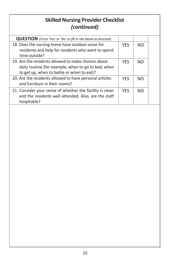# **Skilled Nursing Provider Checklist** *(continued)*

| <b>QUESTION</b> (Circle 'Yes' or 'No' or fill in the blank as directed)                                                                                 |            |           |  |
|---------------------------------------------------------------------------------------------------------------------------------------------------------|------------|-----------|--|
| 18. Does the nursing home have outdoor areas for<br>residents and help for residents who want to spend<br>time outside?                                 | <b>YES</b> | <b>NO</b> |  |
| 19. Are the residents allowed to make choices about<br>daily routine (for example, when to go to bed, when<br>to get up, when to bathe or when to eat)? | <b>YFS</b> | <b>NO</b> |  |
| 20. Are the residents allowed to have personal articles<br>and furniture in their rooms?                                                                | <b>YES</b> | <b>NO</b> |  |
| 21. Consider your sense of whether the facility is clean<br>and the residents well attended. Also, are the staff<br>hospitable?                         | <b>YES</b> | <b>NO</b> |  |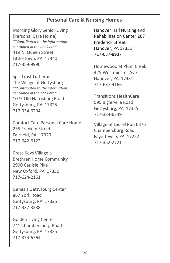# **Personal Care & Nursing Homes**

Morning Glory Senior Living (Personal Care Home) *\*\*Contributed to the information contained in the booklet\*\** 419 N. Queen Street Littlestown, PA 17340 717-359-9990

SpiriTrust Lutheran The Village at Gettysburg *\*\*Contributed to the information contained in the booklet\*\** 1075 Old Harrisburg Road Gettysburg, PA 17325 717-334-6204

Comfort Care Personal Care Home 235 Franklin Street Fairfield, PA 17320 717-642-6122

Cross Keys Village a Brethren Home Community 2990 Carlisle Pike New Oxford, PA 17350 717-624-2161

Genesis Gettysburg Center 867 York Road Gettysburg, PA 17325 717-337-3238

Golden Living Center 741 Chambersburg Road Gettysburg, PA 17325 717-334-6764

Hanover Hall Nursing and Rehabilitation Center 267 Frederick Street Hanover, PA 17331 717-637-8937

Homewood at Plum Creek 425 Westminster Ave Hanover, PA 17331 717-637-4166

Transitions HealthCare 595 Biglerville Road Gettysburg, PA 17325 717-334-6249

Village of Laurel Run 6375 Chambersburg Road Fayetteville, PA 17222 717-352-2721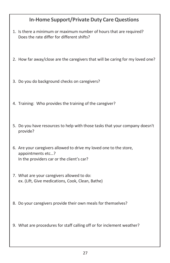# **In-Home Support/Private Duty CareQuestions**

- 1. Is there a minimum or maximum number of hours that are required? Does the rate differ for different shifts?
- 2. How far away/close are the caregivers that will be caring for my loved one?
- 3. Do you do background checks on caregivers?
- 4. Training: Who provides the training of the caregiver?
- 5. Do you have resources to help with those tasks that your company doesn't provide?
- 6. Are your caregivers allowed to drive my loved one to the store, appointments etc…? In the providers car or the client's car?
- 7. What are your caregivers allowed to do: ex. (Lift, Give medications, Cook, Clean, Bathe)
- 8. Do your caregivers provide their own meals for themselves?
- 9. What are procedures for staff calling off or for inclement weather?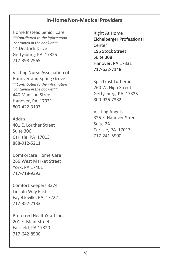# **In-Home Non-Medical Providers**

Home Instead Senior Care *\*\*Contributed to the information contained in the booklet\*\** 14 Deatrick Drive Gettysburg, PA 17325 717-398-2565

Visiting Nurse Association of Hanover and Spring Grove *\*\*Contributed to the information contained in the booklet\*\** 440 Madison Street Hanover, PA 17331 800-422-3197

Addus 401 E. Louther Street Suite 306 Carlisle, PA 17013 888-912-5211

ComForcare Home Care 266 West Market Street York, PA 17401 717-718-9393

Comfort Keepers 3374 Lincoln Way East Fayetteville, PA 17222 717-352-2133

Preferred HealthStaff Inc. 201 E. Main Street Fairfield, PA 17320 717-642-8500

Right At Home Eichelberger Professional Center 195 Stock Street Suite 308 Hanover, PA 17331 717-632-7148

SpiriTrust Lutheran 260 W. High Street Gettysburg, PA 17325 800-926-7382

Visiting Angels 325 S. Hanover Street Suite 2A Carlisle, PA 17013 717-241-5900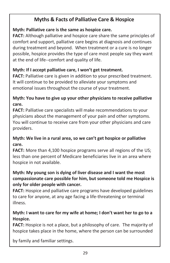# **Myths & Facts of Palliative Care & Hospice**

## **Myth: Palliative care is the same as hospice care.**

**FACT:** Although palliative and hospice care share the same principles of comfort and support, palliative care begins at diagnosis and continues during treatment and beyond. When treatment or a cure is no longer possible, hospice provides the type of care most people say they want at the end of life--comfort and quality of life.

# **Myth: If I accept palliative care, I won't get treatment.**

**FACT:** Palliative care is given in addition to your prescribed treatment. It will continue to be provided to alleviate your symptoms and emotional issues throughout the course of your treatment.

# **Myth: You have to give up your other physicians to receive palliative care.**

**FACT:** Palliative care specialists will make recommendations to your physicians about the management of your pain and other symptoms. You will continue to receive care from your other physicians and care providers.

# **Myth: We live in a rural area, so we can't get hospice or palliative care.**

**FACT:** More than 4,100 hospice programs serve all regions of the US; less than one percent of Medicare beneficiaries live in an area where hospice in not available.

# **Myth: My young son is dying of liver disease and I want the most compassionate care possible for him, but someone told me Hospice is only for older people with cancer.**

**FACT:** Hospice and palliative care programs have developed guidelines to care for anyone, at any age facing a life-threatening or terminal illness.

# **Myth: I want to care for my wife at home; I don't want her to go to a Hospice.**

**FACT:** Hospice is not a place, but a philosophy of care. The majority of hospice takes place in the home, where the person can be surrounded

by family and familiar settings.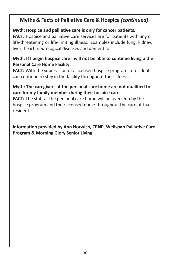# **Myths & Facts of Palliative Care & Hospice** *(continued)*

# **Myth: Hospice and palliative care is only for cancer patients.**

**FACT:** Hospice and palliative care services are for patients with any or life-threatening or life-limiting illness. Examples include lung, kidney, liver, heart, neurological diseases and dementia.

# **Myth: If I begin hospice care I will not be able to continue living a the Personal Care Home Facility**

**FACT:** With the supervision of a licensed hospice program, a resident can continue to stay in the facility throughout their illness.

## **Myth: The caregivers at the personal care home are not qualified to care for my family member during their hospice care**

**FACT:** The staff at the personal care home will be overseen by the hospice program and their licensed nurse throughout the care of that resident.

**Information provided by Ann Norwich, CRNP, Wellspan Palliative Care Program & Morning Glory Senior Living**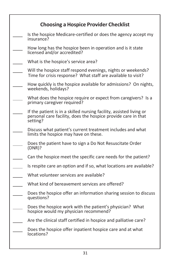| <b>Choosing a Hospice Provider Checklist</b>                                                                                                     |
|--------------------------------------------------------------------------------------------------------------------------------------------------|
| Is the hospice Medicare-certified or does the agency accept my<br>insurance?                                                                     |
| How long has the hospice been in operation and is it state<br>licensed and/or accredited?                                                        |
| What is the hospice's service area?                                                                                                              |
| Will the hospice staff respond evenings, nights or weekends?<br>Time for crisis response? What staff are available to visit?                     |
| How quickly is the hospice available for admissions? On nights,<br>weekends, holidays?                                                           |
| What does the hospice require or expect from caregivers? Is a<br>primary caregiver required?                                                     |
| If the patient is in a skilled nursing facility, assisted living or<br>personal care facility, does the hospice provide care in that<br>setting? |
| Discuss what patient's current treatment includes and what<br>limits the hospice may have on these.                                              |
| Does the patient have to sign a Do Not Resuscitate Order<br>(DNR)?                                                                               |
| Can the hospice meet the specific care needs for the patient?                                                                                    |
| Is respite care an option and if so, what locations are available?                                                                               |
| What volunteer services are available?                                                                                                           |
| What kind of bereavement services are offered?                                                                                                   |
| Does the hospice offer an information sharing session to discuss<br>questions?                                                                   |
| Does the hospice work with the patient's physician? What<br>hospice would my physician recommend?                                                |
| Are the clinical staff certified in hospice and palliative care?                                                                                 |
| Does the hospice offer inpatient hospice care and at what<br>locations?                                                                          |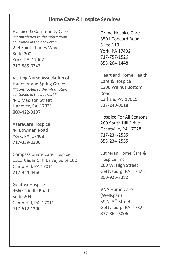# **Home Care & Hospice Services**

Hospice & Community Care *\*\*Contributed to the information contained in the booklet\*\** 224 Saint Charles Way Suite 200 York, PA 17402 717-885-0347

Visiting Nurse Association of Hanover and Spring Grove *\*\*Contributed to the information contained in the booklet\*\** 440 Madison Street Hanover, PA 17331 800-422-3197

AseraCare Hospice 44 Bowman Road York, PA 17408 717-339-0300

Compassionate Care Hospice 1513 Cedar Cliff Drive, Suite 100 Camp Hill, PA 17011 717-944-4466

Gentiva Hospice 4660 Trindle Road Suite 204 Camp Hill, PA 17011 717-612-1200

Grane Hospice Care 3501 Concord Road, Suite 110 York, PA 17402 717-757-1526 855-264-1448

Heartland Home Health Care & Hospice 1200 Walnut Bottom Road Carlisle, PA 17015 717-240-0018

Hospice For All Seasons 280 South Hill Drive Grantville, PA 17028 717-234-2555 855-234-2555

Lutheran Home Care & Hospice, Inc. 260 W. High Street Gettysburg, PA 17325 800-926-7382

VNA Home Care (Wellspan) 39 N. 5<sup>th</sup> Street Gettysburg, PA 17325 877-862-6006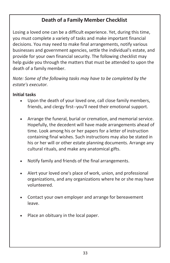# **Death of a Family Member Checklist**

Losing a loved one can be a difficult experience. Yet, during this time, you must complete a variety of tasks and make important financial decisions. You may need to make final arrangements, notify various businesses and government agencies, settle the individual's estate, and provide for your own financial security. The following checklist may help guide you through the matters that must be attended to upon the death of a family member.

*Note: Some of the following tasks may have to be completed by the estate's executor.*

## **Initial tasks**

- Upon the death of your loved one, call close family members, friends, and clergy first--you'll need their emotional support.
- Arrange the funeral, burial or cremation, and memorial service. Hopefully, the decedent will have made arrangements ahead of time. Look among his or her papers for a letter of instruction containing final wishes. Such instructions may also be stated in his or her will or other estate planning documents. Arrange any cultural rituals, and make any anatomical gifts.
- Notify family and friends of the final arrangements.
- Alert your loved one's place of work, union, and professional organizations, and any organizations where he or she may have volunteered.
- Contact your own employer and arrange for bereavement leave.
- Place an obituary in the local paper.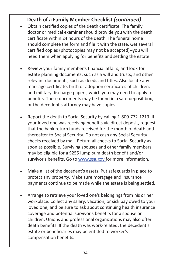# **Death of a Family Member Checklist** *(continued)*

- Obtain certified copies of the death certificate. The family doctor or medical examiner should provide you with the death certificate within 24 hours of the death. The funeral home should complete the form and file it with the state. Get several certified copies (photocopies may not be accepted)--you will need them when applying for benefits and settling the estate.
- Review your family member's financial affairs, and look for estate planning documents, such as a will and trusts, and other relevant documents, such as deeds and titles. Also locate any marriage certificate, birth or adoption certificates of children, and military discharge papers, which you may need to apply for benefits. These documents may be found in a safe-deposit box, or the decedent's attorney may have copies.
- Report the death to Social Security by calling 1-800-772-1213. If your loved one was receiving benefits via direct deposit, request that the bank return funds received for the month of death and thereafter to Social Security. Do not cash any Social Security checks received by mail. Return all checks to Social Security as soon as possible. Surviving spouses and other family members may be eligible for a \$255 lump-sum death benefit and/or survivor's benefits. Go to [www.ssa.gov](http://www.ssa.gov/) for more information.
- Make a list of the decedent's assets. Put safeguards in place to protect any property. Make sure mortgage and insurance payments continue to be made while the estate is being settled.
- Arrange to retrieve your loved one's belongings from his or her workplace. Collect any salary, vacation, or sick pay owed to your loved one, and be sure to ask about continuing health insurance coverage and potential survivor's benefits for a spouse or children. Unions and professional organizations may also offer death benefits. If the death was work-related, the decedent's estate or beneficiaries may be entitled to worker's compensation benefits.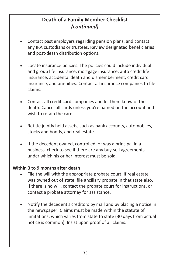# **Death of a Family Member Checklist** *(continued)*

- Contact past employers regarding pension plans, and contact any IRA custodians or trustees. Review designated beneficiaries and post-death distribution options.
- Locate insurance policies. The policies could include individual and group life insurance, mortgage insurance, auto credit life insurance, accidental death and dismemberment, credit card insurance, and annuities. Contact all insurance companies to file claims.
- Contact all credit card companies and let them know of the death. Cancel all cards unless you're named on the account and wish to retain the card.
- Retitle jointly held assets, such as bank accounts, automobiles, stocks and bonds, and real estate.
- If the decedent owned, controlled, or was a principal in a business, check to see if there are any buy-sell agreements under which his or her interest must be sold.

#### **Within 3 to 9 months after death**

- File the will with the appropriate probate court. If real estate was owned out of state, file ancillary probate in that state also. If there is no will, contact the probate court for instructions, or contact a probate attorney for assistance.
- Notify the decedent's creditors by mail and by placing a notice in the newspaper. Claims must be made within the statute of limitations, which varies from state to state (30 days from actual notice is common). Insist upon proof of all claims.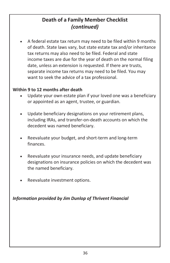# **Death of a Family Member Checklist** *(continued)*

• A federal estate tax return may need to be filed within 9 months of death. State laws vary, but state estate tax and/or inheritance tax returns may also need to be filed. Federal and state income taxes are due for the year of death on the normal filing date, unless an extension is requested. If there are trusts, separate income tax returns may need to be filed. You may want to seek the advice of a tax professional.

## **Within 9 to 12 months after death**

- Update your own estate plan if your loved one was a beneficiary or appointed as an agent, trustee, or guardian.
- Update beneficiary designations on your retirement plans, including IRAs, and transfer-on-death accounts on which the decedent was named beneficiary.
- Reevaluate your budget, and short-term and long-term finances.
- Reevaluate your insurance needs, and update beneficiary designations on insurance policies on which the decedent was the named beneficiary.
- Reevaluate investment options.

*Information provided by Jim Dunlop of Thrivent Financial*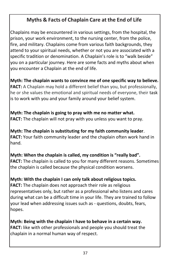# **Myths & Facts of Chaplain Care at the End of Life**

Chaplains may be encountered in various settings, from the hospital, the prison, your work environment, to the nursing center, from the police, fire, and military. Chaplains come from various faith backgrounds, they attend to your spiritual needs, whether or not you are associated with a specific tradition or denomination. A Chaplain's role is to "walk beside" you on a particular journey. Here are some facts and myths about when you encounter a Chaplain at the end of life.

**Myth: The chaplain wants to convince me of one specific way to believe. FACT:** A Chaplain may hold a different belief than you, but professionally, he or she values the emotional and spiritual needs of everyone, their task is to work with you and your family around your belief system.

**Myth: The chaplain is going to pray with me no matter what. FACT:** The chaplain will not pray with you unless you want to pray.

**Myth: The chaplain is substituting for my faith community leader**. **FACT:** Your faith community leader and the chaplain often work hand in hand.

**Myth: When the chaplain is called, my condition is "really bad". FACT:** The chaplain is called to you for many different reasons. Sometimes the chaplain is called because the physical condition worsens.

# **Myth: With the chaplain I can only talk about religious topics.**

**FACT:** The chaplain does not approach their role as religious representatives only, but rather as a professional who listens and cares during what can be a difficult time in your life. They are trained to follow your lead when addressing issues such as - questions, doubts, fears, hopes.

**Myth: Being with the chaplain I have to behave in a certain way. FACT:** like with other professionals and people you should treat the chaplain in a normal human way of respect.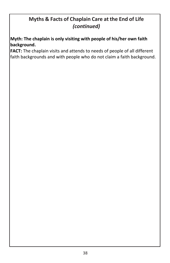# **Myths & Facts of Chaplain Care at the End of Life** *(continued)*

**Myth: The chaplain is only visiting with people of his/her own faith background.**

**FACT:** The chaplain visits and attends to needs of people of all different faith backgrounds and with people who do not claim a faith background.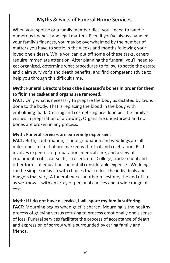# **Myths & Facts of Funeral Home Services**

When your spouse or a family member dies, you'll need to handle numerous financial and legal matters. Even if you've always handled your family's finances, you may be overwhelmed by the number of matters you have to settle in the weeks and months following your loved one's death. While you can put off some of these tasks, others require immediate attention. After planning the funeral, you'll need to get organized, determine what procedures to follow to settle the estate and claim survivor's and death benefits, and find competent advice to help you through this difficult time.

## **Myth: Funeral Directors break the deceased's bones in order for them to fit in the casket and organs are removed.**

**FACT:** Only what is necessary to prepare the body as dictated by law is done to the body. That is replacing the blood in the body with embalming fluid. Dressing and cosmetizing are done per the family's wishes in preparation of a viewing. Organs are undisturbed and no bones are broken in any process.

## **Myth: Funeral services are extremely expensive.**

**FACT:** Birth, confirmation, school graduation and weddings are all milestones in life that are marked with ritual and celebration. Birth involves expenses of preparation, medical care, and a slew of equipment: cribs, car seats, strollers, etc. College, trade school and other forms of education can entail considerable expense. Weddings can be simple or lavish with choices that reflect the individuals and budgets that vary. A funeral marks another milestone, the end of life, as we know it with an array of personal choices and a wide range of cost.

## **Myth: If I do not have a service, I will spare my family suffering.**

**FACT:** Mourning begins when grief is shared*.* Mourning is the healthy process of grieving versus refusing to process emotionally one's sense of loss. Funeral services facilitate the process of acceptance of death and expression of sorrow while surrounded by caring family and friends.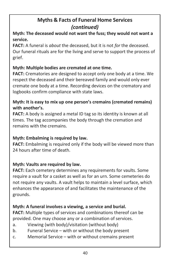# **Myth: The deceased would not want the fuss; they would not want a service.**

**FACT:** A funeral is *about* the deceased, but it is not *for* the deceased. Our funeral rituals are for the living and serve to support the process of grief.

# **Myth: Multiple bodies are cremated at one time.**

**FACT:** Crematories are designed to accept only one body at a time. We respect the deceased and their bereaved family and would only ever cremate one body at a time. Recording devices on the crematory and logbooks confirm compliance with state laws.

# **Myth: It is easy to mix up one person's cremains (cremated remains) with another's.**

**FACT:** A body is assigned a metal ID tag so its identity is known at all times. The tag accompanies the body through the cremation and remains with the cremains.

# **Myth: Embalming is required by law.**

**FACT:** Embalming is required only if the body will be viewed more than 24 hours after time of death.

## **Myth: Vaults are required by law.**

**FACT:** Each cemetery determines any requirements for vaults. Some require a vault for a casket as well as for an urn. Some cemeteries do not require any vaults. A vault helps to maintain a level surface, which enhances the appearance of and facilitates the maintenance of the grounds.

# **Myth: A funeral involves a viewing, a service and burial.**

**FACT:** Multiple types of services and combinations thereof can be provided. One may choose any or a combination of services.

- a. Viewing (with body)/visitation (without body)
- b. Funeral Service with or without the body present
- c. Memorial Service with or without cremains present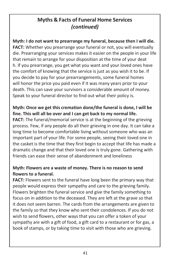**Myth: I do not want to prearrange my funeral, because then I will die. FACT:** Whether you prearrange your funeral or not, you will eventually die. Prearranging your services makes it easier on the people in your life that remain to arrange for your disposition at the time of your deat h. If you prearrange, you get what you want and your loved ones have the comfort of knowing that the service is just as you wish it to be. If you decide to pay for your prearrangements, some funeral homes will honor the price you paid even if it was many years prior to your death. This can save your survivors a considerable amount of money. Speak to your funeral director to find out what their policy is.

# **Myth: Once we get this cremation done/the funeral is done, I will be fine. This will all be over and I can get back to my normal life.**

**FACT:** The funeral/memorial service is at the beginning of the grieving process. Few, if any people do all their grieving in one day. It can take a long time to become comfortable living without someone who was an important part of your life. For some people, seeing their loved one in the casket is the time that they first begin to accept that life has made a dramatic change and that their loved one is truly gone. Gathering with friends can ease their sense of abandonment and loneliness

# **Myth: Flowers are a waste of money. There is no reason to send flowers to a funeral.**

**FACT:** Flowers sent to the funeral have long been the primary way that people would express their sympathy and care to the grieving family. Flowers brighten the funeral service and give the family something to focus on in addition to the deceased. They are left at the grave so that it does not seem barren. The cards from the arrangements are given to the family so that they know who sent their condolences. If you do not wish to send flowers, other ways that you can offer a token of your sympathy are with a gift of food, a gift card to a restaurant or for gas, a book of stamps, or by taking time to visit with those who are grieving.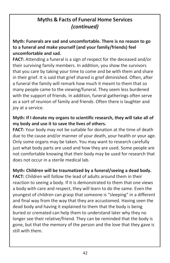# **Myth: Funerals are sad and uncomfortable. There is no reason to go to a funeral and make yourself (and your family/friends) feel uncomfortable and sad.**

**FACT:** Attending a funeral is a sign of respect for the deceased and/or their surviving family members. In addition, you show the survivors that you care by taking your time to come and be with them and share in their grief. It is said that grief shared is grief diminished. Often, after a funeral the family will remark how much it meant to them that so many people came to the viewing/funeral. They seem less burdened with the support of friends. In addition, funeral gatherings often serve as a sort of reunion of family and friends. Often there is laughter and joy at a service.

## **Myth: If I donate my organs to scientific research, they will take all of my body and use it to save the lives of others.**

**FACT:** Your body may not be suitable for donation at the time of death due to the cause and/or manner of your death, your health or your age. Only some organs may be taken. You may want to research carefully just what body parts are used and how they are used. Some people are not comfortable knowing that their body may be used for research that does not occur in a sterile medical lab.

#### **Myth: Children will be traumatized by a funeral/seeing a dead body.**

**FACT:** Children will follow the lead of adults around them in their reaction to seeing a body. If it is demonstrated to them that one views a body with care and respect, they will learn to do the same. Even the youngest of children can grasp that someone is "sleeping" in a different and final way from the way that they are accustomed. Having seen the dead body and having it explained to them that the body is being buried or cremated can help them to understand later why they no longer see their relative/friend. They can be reminded that the body is gone, but that the memory of the person and the love that they gave is still with them.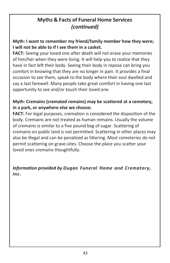# **Myth: I want to remember my friend/family member how they were; I will not be able to if I see them in a casket.**

**FACT:** Seeing your loved one after death will not erase your memories of him/her when they were living. It will help you to realize that they have in fact left their body. Seeing their body in repose can bring you comfort in knowing that they are no longer in pain. It provides a final occasion to see them, speak to the body where their soul dwelled and say a last farewell. Many people take great comfort in having one last opportunity to see and/or touch their loved one.

## **Myth: Cremains (cremated remains) may be scattered at a cemetery, in a park, or anywhere else we choose.**

**FACT:** For legal purposes, cremation is considered the disposition of the body. Cremains are not treated as human remains. Usually the volume of cremains is similar to a five pound bag of sugar. Scattering of cremains on public land is not permitted. Scattering in other places may also be illegal and can be penalized as littering. Most cemeteries do not permit scattering on grave-sites. Choose the place you scatter your loved ones cremains thoughtfully.

# *Information provided by Dugan Funeral Home and Crematory, Inc.*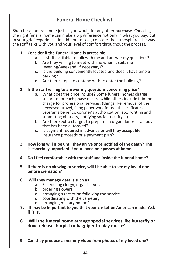# **Funeral Home Checklist**

Shop for a funeral home just as you would for any other purchase. Choosing the right funeral home can make a big difference not only in what you pay, but in your grief experience. In addition to cost, consider the atmosphere, the way the staff talks with you and your level of comfort throughout the process.

#### **1. Consider if the Funeral Home is accessible**

- a. Is staff available to talk with me and answer my questions?
- b. Are they willing to meet with me when it suits me (evening/weekend, if necessary)?
- c. Is the building conveniently located and does it have ample parking?
- d. Are there steps to contend with to enter the building?

#### **2. Is the staff willing to answer my questions concerning price?**

- a. What does the price include? Some funeral homes charge separate for each phase of care while others include it in the charge for professional services. (things like removal of the deceased, travel, filing paperwork for death certificates, veteran's benefits, coroner's authorization, etc., writing and submitting obituary, notifying social security,…).
- b. Are there extra charges to prepare an organ donor or a body that has been autopsied?
- c. Is payment required in advance or will they accept life insurance proceeds or a payment plan?
- **3. How long will it be until they arrive once notified of the death? This is especially important if your loved one passes at home.**
- **4. Do I feel comfortable with the staff and inside the funeral home?**
- **5. If there is no viewing or service, will I be able to see my loved one before cremation?**

#### **6. Will they manage details such as**

- a. Scheduling clergy, organist, vocalist
- b. ordering flowers
- c. arranging a reception following the service
- d. coordinating with the cemetery
- e. arranging military honors'
- **7. It may be important to you that your casket be American made. Ask if it is.**
- **8. Will the funeral home arrange special serviceslike butterfly or dove release, harpist or bagpiper to play music?**
- **9. Can they produce a memory video from photos of my loved one?**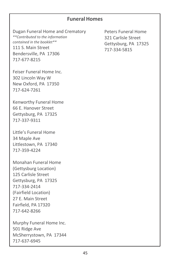# **Funeral Homes**

Dugan Funeral Home and Crematory *\*\*Contributed to the information contained in the booklet\*\** 111 S. Main Street Bendersville, PA 17306 717-677-8215

Feiser Funeral Home Inc. 302 Lincoln Way W New Oxford, PA 17350 717-624-7261

Kenworthy Funeral Home 66 E. Hanover Street Gettysburg, PA 17325 717-337-9311

Little's Funeral Home 34 Maple Ave Littlestown, PA 17340 717-359-4224

Monahan Funeral Home (Gettysburg Location) 125 Carlisle Street Gettysburg, PA 17325 717-334-2414 (Fairfield Location) 27 E. Main Street Fairfield, PA 17320 717-642-8266

Murphy Funeral Home Inc. 501 Ridge Ave McSherrystown, PA 17344 717-637-6945

Peters Funeral Home 321 Carlisle Street Gettysburg, PA 17325 717-334-5815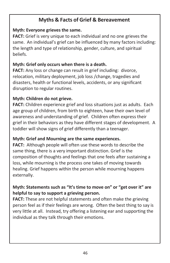# **Myths & Facts of Grief & Bereavement**

## **Myth: Everyone grieves the same.**

**FACT:** Grief is very unique to each individual and no one grieves the same. An individual's grief can be influenced by many factors including: the length and type of relationship, gender, culture, and spiritual beliefs.

## **Myth: Grief only occurs when there is a death.**

**FACT:** Any loss or change can result in grief including: divorce, relocation, military deployment, job loss /change, tragedies and disasters, health or functional levels, accidents, or any significant disruption to regular routines.

#### **Myth: Children do not grieve.**

**FACT:** Children experience grief and loss situations just as adults. Each age group of children, from birth to eighteen, have their own level of awareness and understanding of grief. Children often express their grief in their behaviors as they have different stages of development. A toddler will show signs of grief differently than a teenager.

## **Myth: Grief and Mourning are the same experiences.**

**FACT:** Although people will often use these words to describe the same thing, there is a very important distinction. Grief is the composition of thoughts and feelings that one feels after sustaining a loss, while mourning is the process one takes of moving towards healing. Grief happens within the person while mourning happens externally.

# **Myth: Statements such as "It's time to move on" or "get over it" are helpful to say to support a grieving person.**

**FACT:** These are not helpful statements and often make the grieving person feel as if their feelings are wrong. Often the best thing to say is very little at all. Instead, try offering a listening ear and supporting the individual as they talk through their emotions.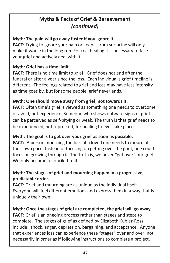# **Myths & Facts of Grief & Bereavement** *(continued)*

## **Myth: The pain will go away faster if you ignore it.**

**FACT:** Trying to ignore your pain or keep it from surfacing will only make it worse in the long run. For real healing it is necessary to face your grief and actively deal with it.

## **Myth: Grief has a time limit.**

**FACT:** There is no time limit to grief. Grief does not end after the funeral or after a year since the loss. Each individual's grief timeline is different. The feelings related to grief and loss may have less intensity as time goes by, but for some people, grief never ends.

# **Myth: One should move away from grief, not towards it.**

**FACT:** Often time's grief is viewed as something one needs to overcome or avoid, not experience. Someone who shows outward signs of grief can be perceived as self-pitying or weak. The truth is that grief needs to be experienced, not repressed, for healing to ever take place.

## **Myth: The goal is to get over your grief as soon as possible.**

**FACT:** A person mourning the loss of a loved one needs to mourn at their own pace. Instead of focusing on getting over the grief, one could focus on growing through it. The truth is, we never "get over" our grief. We only become reconciled to it.

# **Myth: The stages of grief and mourning happen in a progressive, predictable order.**

**FACT:** Grief and mourning are as unique as the individual itself. Everyone will feel different emotions and express them in a way that is uniquely their own.

# **Myth: Once the stages of grief are completed, the grief will go away.**

**FACT:** Grief is an ongoing process rather than stages and steps to complete. The stages of grief as defined by Elizabeth Kubler-Ross include: shock, anger, depression, bargaining, and acceptance. Anyone that experiences loss can experience these "stages" over and over, not necessarily in order as if following instructions to complete a project.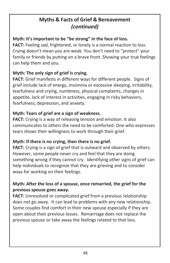# **Myths & Facts of Grief & Bereavement** *(continued)*

# **Myth: It's important to be "be strong" in the face of loss.**

**FACT:** Feeling sad, frightened, or lonely is a normal reaction to loss. Crying doesn't mean you are weak. You don't need to "protect" your family or friends by putting on a brave front. Showing your true feelings can help them and you.

# **Myth: The only sign of grief is crying.**

**FACT:** Grief manifests in different ways for different people. Signs of grief include lack of energy, insomnia or excessive sleeping, irritability, tearfulness and crying, numbness, physical complaints, changes in appetite, lack of interest in activities, engaging in risky behaviors, fearfulness, depression, and anxiety.

# **Myth: Tears of grief are a sign of weakness.**

**FACT:** Crying is a way of releasing tension and emotion. It also communicates to others the need to be comforted. One who expresses tears shows their willingness to work through their grief.

## **Myth: If there is no crying, then there is no grief.**

FACT: Crying is a sign of grief that is outward and observed by others. However, some people never cry and feel that they are doing something wrong if they cannot cry. Identifying other signs of grief can help individuals to recognize that they are grieving and to consider ways for working on their feelings.

# **Myth: After the loss of a spouse, once remarried, the grief for the previous spouse goes away.**

**FACT:** Unresolved or complicated grief from a previous relationship does not go away. It can lead to problems with any new relationship. Some couples find comfort in their new spouse especially if they are open about their previous losses. Remarriage does not replace the previous spouse or take away the feelings related to that loss.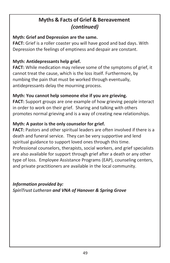# **Myths & Facts of Grief & Bereavement** *(continued)*

## **Myth: Grief and Depression are the same.**

**FACT:** Grief is a roller coaster you will have good and bad days. With Depression the feelings of emptiness and despair are constant.

# **Myth: Antidepressants help grief.**

**FACT:** While medication may relieve some of the symptoms of grief, it cannot treat the cause, which is the loss itself. Furthermore, by numbing the pain that must be worked through eventually, antidepressants delay the mourning process.

# **Myth: You cannot help someone else if you are grieving.**

**FACT:** Support groups are one example of how grieving people interact in order to work on their grief. Sharing and talking with others promotes normal grieving and is a way of creating new relationships.

# **Myth: A pastor is the only counselor for grief.**

**FACT:** Pastors and other spiritual leaders are often involved if there is a death and funeral service. They can be very supportive and lend spiritual guidance to support loved ones through this time. Professional counselors, therapists, social workers, and grief specialists are also available for support through grief after a death or any other type of loss. Employee Assistance Programs (EAP), counseling centers, and private practitioners are available in the local community.

*Information provided by: SpiriTrust Lutheran and VNA of Hanover & Spring Grove*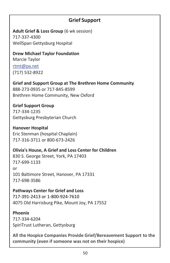# **Grief Support**

**Adult Grief & Loss Group** (6 wk session) 717-337-4300 WellSpan Gettysburg Hospital

**Drew Michael Taylor Foundation**

Marcie Taylor [rtmt@pa.net](mailto:rtmt@pa.net) (717) 532-8922

**Grief and Support Group at The Brethren Home Community** 888-273-0935 or 717-845-8599 Brethren Home Community, New Oxford

**Grief Support Group** 717-334-1235 Gettysburg Presbyterian Church

**Hanover Hospital** Eric Stenman (hospital Chaplain) 717-316-3711 or 800-673-2426

**Olivia's House, A Grief and Loss Center for Children** 830 S. George Street, York, PA 17403 717-699-1133 or 101 Baltimore Street, Hanover, PA 17331 717-698-3586

**Pathways Center for Grief and Loss** 717-391-2413 or 1-800-924-7610 4075 Old Harrisburg Pike, Mount Joy, PA 17552

**Phoenix** 717-334-6204 SpiriTrust Lutheran, Gettysburg

**All the Hospice Companies Provide Grief/Bereavement Support to the community (even if someone was not on their hospice)**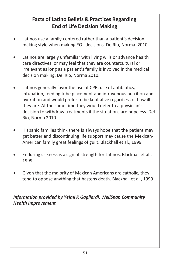# **Facts of Latino Beliefs & Practices Regarding End of Life Decision Making**

- Latinos use a family-centered rather than a patient's decisionmaking style when making EOL decisions. DelRio, Norma. 2010
- Latinos are largely unfamiliar with living wills or advance health care directives, or may feel that they are countercultural or irrelevant as long as a patient's family is involved in the medical decision making. Del Rio, Norma 2010.
- Latinos generally favor the use of CPR, use of antibiotics, intubation, feeding tube placement and intravenous nutrition and hydration and would prefer to be kept alive regardless of how ill they are. At the same time they would defer to a physician's decision to withdraw treatments if the situations are hopeless. Del Rio, Norma 2010.
- Hispanic families think there is always hope that the patient may get better and discontinuing life support may cause the Mexican-American family great feelings of guilt. Blackhall et al., 1999
- Enduring sickness is a sign of strength for Latinos. Blackhall et al., 1999
- Given that the majority of Mexican Americans are catholic, they tend to oppose anything that hastens death. Blackhall et al., 1999

*Information provided by Yeimi K Gagliardi, WellSpan Community Health Improvement*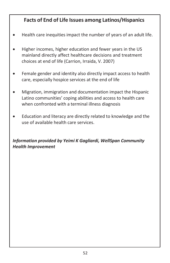# **Facts of End of Life Issues among Latinos/Hispanics**

- Health care inequities impact the number of years of an adult life.
- Higher incomes, higher education and fewer years in the US mainland directly affect healthcare decisions and treatment choices at end of life (Carrion, Irraida, V. 2007)
- Female gender and identity also directly impact access to health care, especially hospice services at the end of life
- Migration, immigration and documentation impact the Hispanic Latino communities' coping abilities and access to health care when confronted with a terminal illness diagnosis
- Education and literacy are directly related to knowledge and the use of available health care services.

# *Information provided by Yeimi K Gagliardi, WellSpan Community Health Improvement*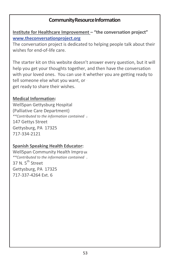# **CommunityResourceInformation**

**Institute for Healthcare Improvement – "the conversation project" [www.theconversationproject.org](http://www.theconversationproject.org/)**

The conversation project is dedicated to helping people talk about their wishes for end-of-life care.

The starter kit on this website doesn't answer every question, but it will help you get your thoughts together, and then have the conversation with your loved ones. You can use it whether you are getting ready to tell someone else what you want, or get ready to share their wishes.

#### **Medical Information:**

*in the booklet\*\** WellSpan Gettysburg Hospital (Palliative Care Department) *\*\*Contributed to the information contained* 147 Gettys Street Gettysburg, PA 17325 717-334-2121

## **Spanish Speaking Health Educator:**

WellSpan Community Health Impro ve *in the booklet\*\* \*\*Contributed to the information contained* 37 N. 5<sup>th</sup> Street Gettysburg, PA 17325 717-337-4264 Ext. 6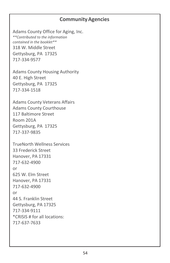# **CommunityAgencies**

Adams County Office for Aging, Inc. *\*\*Contributed to the information contained in the booklet\*\** 318 W. Middle Street Gettysburg, PA 17325 717-334-9577

Adams County Housing Authority 40 E. High Street Gettysburg, PA 17325 717-334-1518

Adams County Veterans Affairs Adams County Courthouse 117 Baltimore Street Room 201A Gettysburg, PA 17325 717-337-9835

TrueNorth Wellness Services 33 Frederick Street Hanover, PA 17331 717-632-4900 or 625 W. Elm Street Hanover, PA 17331 717-632-4900 or 44 S. Franklin Street Gettysburg, PA 17325 717-334-9111 \*CRISIS # for all locations: 717-637-7633